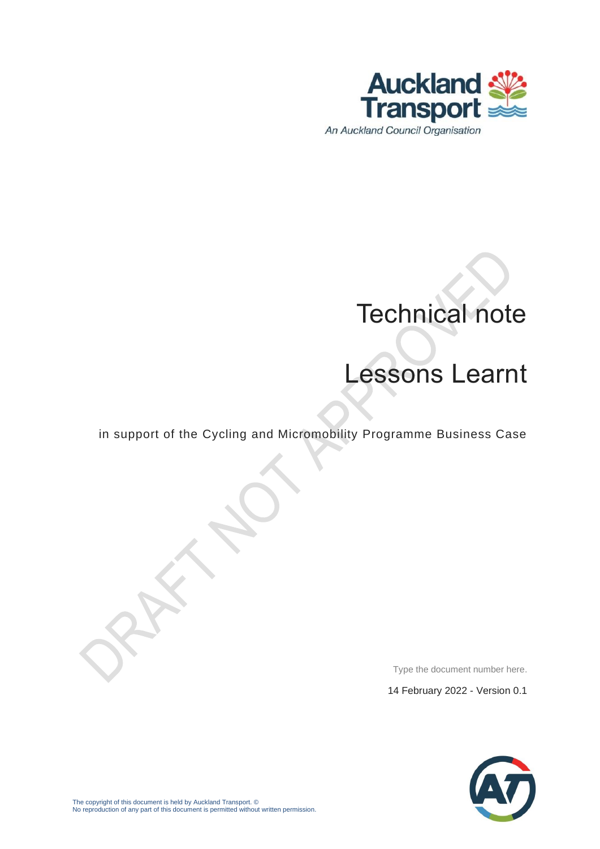

# Technical note

# Lessons Learnt

in support of the Cycling and Micromobility Programme Business Case

Type the document number here.

14 February 2022 - Version 0.1

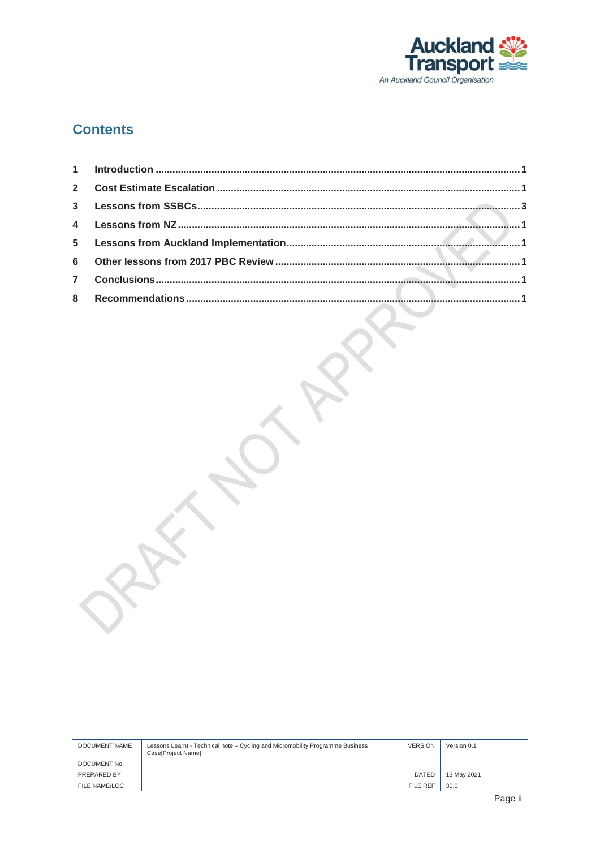

#### **Contents**

| <b>DOCUMENT NAME</b> | Lessons Learnt - Technical note – Cycling and Micromobility Programme Business<br>Case[Project Name] | <b>VERSION</b>  | Version 0.1 |      |
|----------------------|------------------------------------------------------------------------------------------------------|-----------------|-------------|------|
| DOCUMENT No.         |                                                                                                      |                 |             |      |
| PREPARED BY          |                                                                                                      | <b>DATED</b>    | 13 May 2021 |      |
| FILE NAME/LOC        |                                                                                                      | <b>FILE REF</b> | 30.0        |      |
|                      |                                                                                                      |                 |             | Page |

 $\mathcal{L}_{\mathcal{A}}$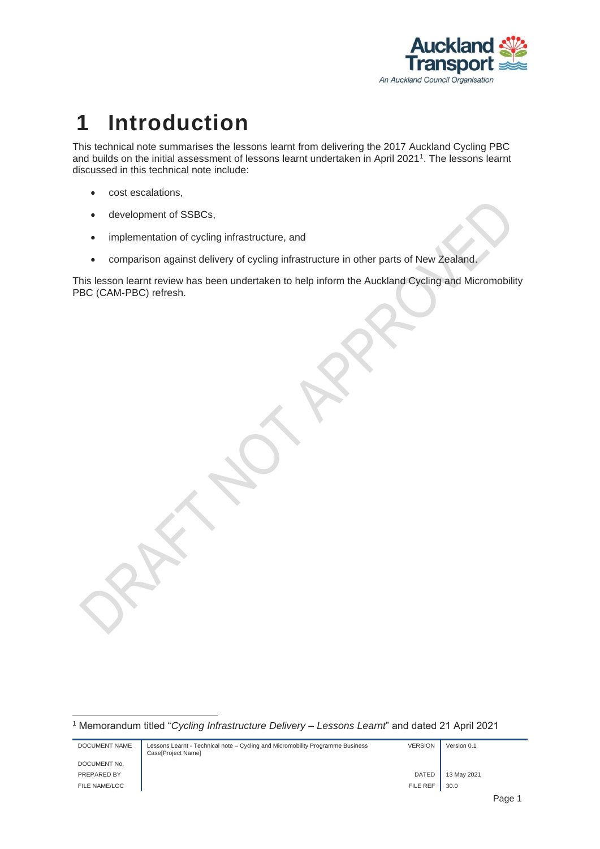

### <span id="page-2-0"></span>**1 Introduction**

This technical note summarises the lessons learnt from delivering the 2017 Auckland Cycling PBC and builds on the initial assessment of lessons learnt undertaken in April 2021<sup>1</sup> . The lessons learnt discussed in this technical note include:

- cost escalations,
- development of SSBCs,
- implementation of cycling infrastructure, and
- comparison against delivery of cycling infrastructure in other parts of New Zealand.

This lesson learnt review has been undertaken to help inform the Auckland Cycling and Micromobility PBC (CAM-PBC) refresh.

<sup>1</sup> Memorandum titled "*Cycling Infrastructure Delivery – Lessons Learnt*" and dated 21 April 2021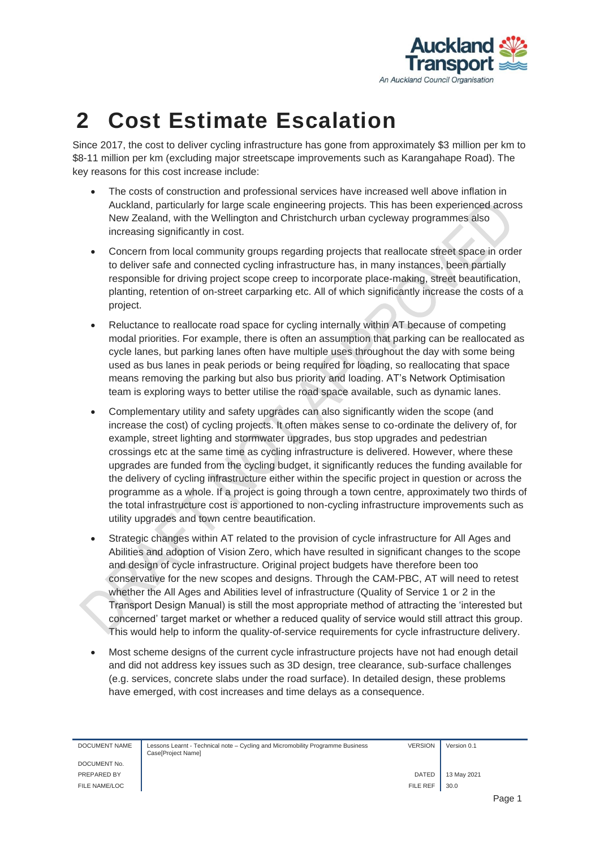

# <span id="page-3-0"></span>**2 Cost Estimate Escalation**

Since 2017, the cost to deliver cycling infrastructure has gone from approximately \$3 million per km to \$8-11 million per km (excluding major streetscape improvements such as Karangahape Road). The key reasons for this cost increase include:

- The costs of construction and professional services have increased well above inflation in Auckland, particularly for large scale engineering projects. This has been experienced across New Zealand, with the Wellington and Christchurch urban cycleway programmes also increasing significantly in cost.
- Concern from local community groups regarding projects that reallocate street space in order to deliver safe and connected cycling infrastructure has, in many instances, been partially responsible for driving project scope creep to incorporate place-making, street beautification, planting, retention of on-street carparking etc. All of which significantly increase the costs of a project.
- Reluctance to reallocate road space for cycling internally within AT because of competing modal priorities. For example, there is often an assumption that parking can be reallocated as cycle lanes, but parking lanes often have multiple uses throughout the day with some being used as bus lanes in peak periods or being required for loading, so reallocating that space means removing the parking but also bus priority and loading. AT's Network Optimisation team is exploring ways to better utilise the road space available, such as dynamic lanes.
- Complementary utility and safety upgrades can also significantly widen the scope (and increase the cost) of cycling projects. It often makes sense to co-ordinate the delivery of, for example, street lighting and stormwater upgrades, bus stop upgrades and pedestrian crossings etc at the same time as cycling infrastructure is delivered. However, where these upgrades are funded from the cycling budget, it significantly reduces the funding available for the delivery of cycling infrastructure either within the specific project in question or across the programme as a whole. If a project is going through a town centre, approximately two thirds of the total infrastructure cost is apportioned to non-cycling infrastructure improvements such as utility upgrades and town centre beautification.
- Strategic changes within AT related to the provision of cycle infrastructure for All Ages and Abilities and adoption of Vision Zero, which have resulted in significant changes to the scope and design of cycle infrastructure. Original project budgets have therefore been too conservative for the new scopes and designs. Through the CAM-PBC, AT will need to retest whether the All Ages and Abilities level of infrastructure (Quality of Service 1 or 2 in the Transport Design Manual) is still the most appropriate method of attracting the 'interested but concerned' target market or whether a reduced quality of service would still attract this group. This would help to inform the quality-of-service requirements for cycle infrastructure delivery.
- Most scheme designs of the current cycle infrastructure projects have not had enough detail and did not address key issues such as 3D design, tree clearance, sub-surface challenges (e.g. services, concrete slabs under the road surface). In detailed design, these problems have emerged, with cost increases and time delays as a consequence.

| DOCUMENT NAME | Lessons Learnt - Technical note – Cycling and Micromobility Programme Business<br>Case[Project Name] | <b>VERSION</b> | Version 0.1 |  |
|---------------|------------------------------------------------------------------------------------------------------|----------------|-------------|--|
| DOCUMENT No.  |                                                                                                      |                |             |  |
| PREPARED BY   |                                                                                                      | <b>DATED</b>   | 13 May 2021 |  |
| FILE NAME/LOC |                                                                                                      | FILE REF       | 30.0        |  |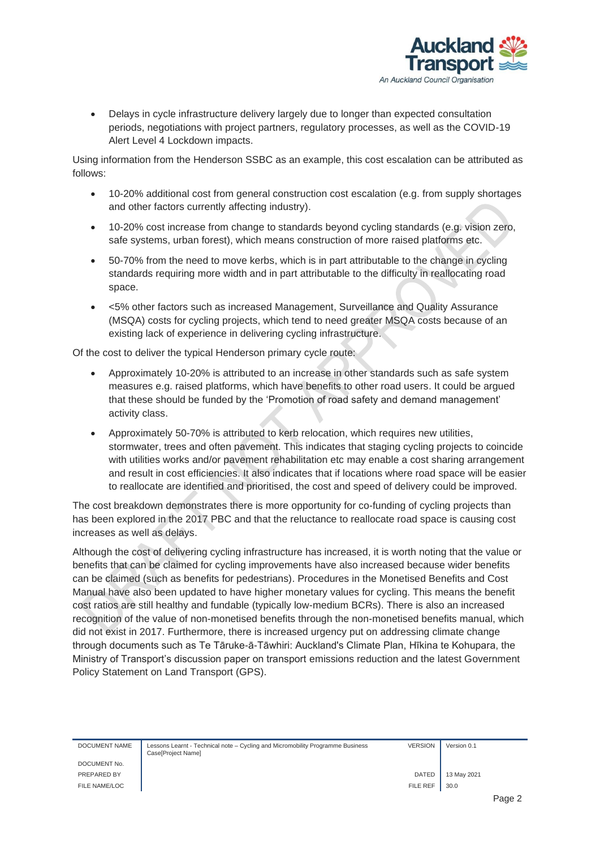

• Delays in cycle infrastructure delivery largely due to longer than expected consultation periods, negotiations with project partners, regulatory processes, as well as the COVID-19 Alert Level 4 Lockdown impacts.

Using information from the Henderson SSBC as an example, this cost escalation can be attributed as follows:

- 10-20% additional cost from general construction cost escalation (e.g. from supply shortages and other factors currently affecting industry).
- 10-20% cost increase from change to standards beyond cycling standards (e.g. vision zero, safe systems, urban forest), which means construction of more raised platforms etc.
- 50-70% from the need to move kerbs, which is in part attributable to the change in cycling standards requiring more width and in part attributable to the difficulty in reallocating road space.
- <5% other factors such as increased Management, Surveillance and Quality Assurance (MSQA) costs for cycling projects, which tend to need greater MSQA costs because of an existing lack of experience in delivering cycling infrastructure.

Of the cost to deliver the typical Henderson primary cycle route:

- Approximately 10-20% is attributed to an increase in other standards such as safe system measures e.g. raised platforms, which have benefits to other road users. It could be argued that these should be funded by the 'Promotion of road safety and demand management' activity class.
- Approximately 50-70% is attributed to kerb relocation, which requires new utilities, stormwater, trees and often pavement. This indicates that staging cycling projects to coincide with utilities works and/or pavement rehabilitation etc may enable a cost sharing arrangement and result in cost efficiencies. It also indicates that if locations where road space will be easier to reallocate are identified and prioritised, the cost and speed of delivery could be improved.

The cost breakdown demonstrates there is more opportunity for co-funding of cycling projects than has been explored in the 2017 PBC and that the reluctance to reallocate road space is causing cost increases as well as delays.

Although the cost of delivering cycling infrastructure has increased, it is worth noting that the value or benefits that can be claimed for cycling improvements have also increased because wider benefits can be claimed (such as benefits for pedestrians). Procedures in the Monetised Benefits and Cost Manual have also been updated to have higher monetary values for cycling. This means the benefit cost ratios are still healthy and fundable (typically low-medium BCRs). There is also an increased recognition of the value of non-monetised benefits through the non-monetised benefits manual, which did not exist in 2017. Furthermore, there is increased urgency put on addressing climate change through documents such as Te Tāruke-ā-Tāwhiri: Auckland's Climate Plan, Hīkina te Kohupara, the Ministry of Transport's discussion paper on transport emissions reduction and the latest Government Policy Statement on Land Transport (GPS).

DOCUMENT No.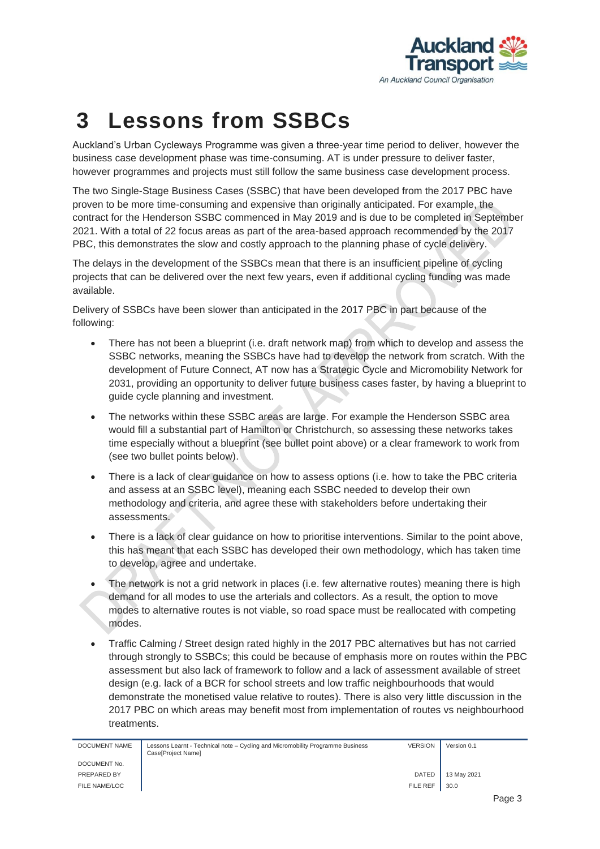

# <span id="page-5-0"></span>**3 Lessons from SSBCs**

Auckland's Urban Cycleways Programme was given a three-year time period to deliver, however the business case development phase was time-consuming. AT is under pressure to deliver faster, however programmes and projects must still follow the same business case development process.

The two Single-Stage Business Cases (SSBC) that have been developed from the 2017 PBC have proven to be more time-consuming and expensive than originally anticipated. For example, the contract for the Henderson SSBC commenced in May 2019 and is due to be completed in September 2021. With a total of 22 focus areas as part of the area-based approach recommended by the 2017 PBC, this demonstrates the slow and costly approach to the planning phase of cycle delivery.

The delays in the development of the SSBCs mean that there is an insufficient pipeline of cycling projects that can be delivered over the next few years, even if additional cycling funding was made available.

Delivery of SSBCs have been slower than anticipated in the 2017 PBC in part because of the following:

- There has not been a blueprint (i.e. draft network map) from which to develop and assess the SSBC networks, meaning the SSBCs have had to develop the network from scratch. With the development of Future Connect, AT now has a Strategic Cycle and Micromobility Network for 2031, providing an opportunity to deliver future business cases faster, by having a blueprint to guide cycle planning and investment.
- The networks within these SSBC areas are large. For example the Henderson SSBC area would fill a substantial part of Hamilton or Christchurch, so assessing these networks takes time especially without a blueprint (see bullet point above) or a clear framework to work from (see two bullet points below).
- There is a lack of clear guidance on how to assess options (i.e. how to take the PBC criteria and assess at an SSBC level), meaning each SSBC needed to develop their own methodology and criteria, and agree these with stakeholders before undertaking their assessments.
- There is a lack of clear guidance on how to prioritise interventions. Similar to the point above, this has meant that each SSBC has developed their own methodology, which has taken time to develop, agree and undertake.
- The network is not a grid network in places (i.e. few alternative routes) meaning there is high demand for all modes to use the arterials and collectors. As a result, the option to move modes to alternative routes is not viable, so road space must be reallocated with competing modes.
- Traffic Calming / Street design rated highly in the 2017 PBC alternatives but has not carried through strongly to SSBCs; this could be because of emphasis more on routes within the PBC assessment but also lack of framework to follow and a lack of assessment available of street design (e.g. lack of a BCR for school streets and low traffic neighbourhoods that would demonstrate the monetised value relative to routes). There is also very little discussion in the 2017 PBC on which areas may benefit most from implementation of routes vs neighbourhood treatments.

DOCUMENT No. FILE NAME/LOC FILE REF  $\parallel$  30.0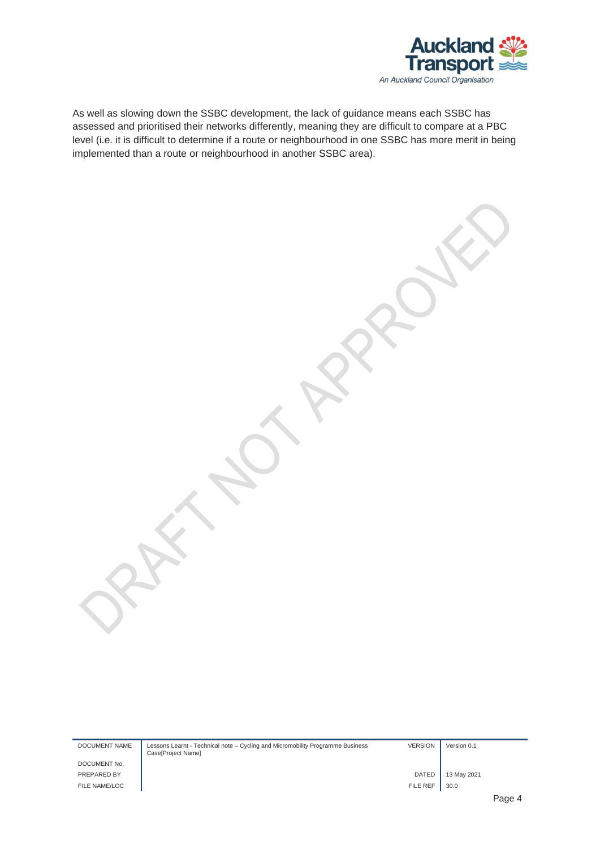

As well as slowing down the SSBC development, the lack of guidance means each SSBC has assessed and prioritised their networks differently, meaning they are difficult to compare at a PBC level (i.e. it is difficult to determine if a route or neighbourhood in one SSBC has more merit in being implemented than a route or neighbourhood in another SSBC area).

DOCUMENT NAME Lessons Learnt - Technical note – Cycling and Micromobility Programme Business Case[Project Name] VERSION Version 0.1 DOCUMENT No. PREPARED BY **DATED** 13 May 2021 FILE NAME/LOC **FILE REF** 30.0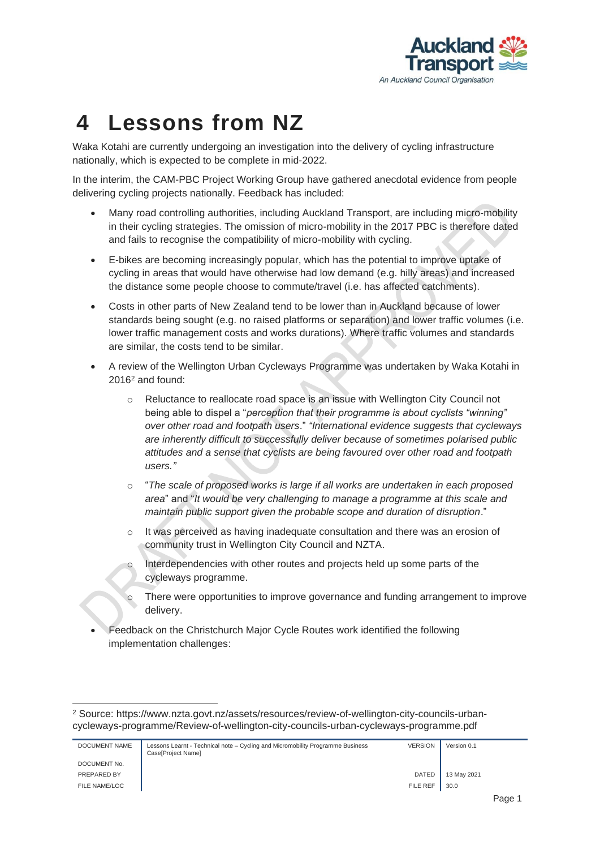

# <span id="page-7-0"></span>**4 Lessons from NZ**

Waka Kotahi are currently undergoing an investigation into the delivery of cycling infrastructure nationally, which is expected to be complete in mid-2022.

In the interim, the CAM-PBC Project Working Group have gathered anecdotal evidence from people delivering cycling projects nationally. Feedback has included:

- Many road controlling authorities, including Auckland Transport, are including micro-mobility in their cycling strategies. The omission of micro-mobility in the 2017 PBC is therefore dated and fails to recognise the compatibility of micro-mobility with cycling.
- E-bikes are becoming increasingly popular, which has the potential to improve uptake of cycling in areas that would have otherwise had low demand (e.g. hilly areas) and increased the distance some people choose to commute/travel (i.e. has affected catchments).
- Costs in other parts of New Zealand tend to be lower than in Auckland because of lower standards being sought (e.g. no raised platforms or separation) and lower traffic volumes (i.e. lower traffic management costs and works durations). Where traffic volumes and standards are similar, the costs tend to be similar.
- A review of the Wellington Urban Cycleways Programme was undertaken by Waka Kotahi in 2016<sup>2</sup> and found:
	- o Reluctance to reallocate road space is an issue with Wellington City Council not being able to dispel a "*perception that their programme is about cyclists "winning" over other road and footpath users*." *"International evidence suggests that cycleways are inherently difficult to successfully deliver because of sometimes polarised public attitudes and a sense that cyclists are being favoured over other road and footpath users."*
	- o "*The scale of proposed works is large if all works are undertaken in each proposed area*" and "*It would be very challenging to manage a programme at this scale and maintain public support given the probable scope and duration of disruption*."
	- $\circ$  It was perceived as having inadequate consultation and there was an erosion of community trust in Wellington City Council and NZTA.
	- Interdependencies with other routes and projects held up some parts of the cycleways programme.
	- o There were opportunities to improve governance and funding arrangement to improve delivery.
- Feedback on the Christchurch Major Cycle Routes work identified the following implementation challenges:

<sup>2</sup> Source: https://www.nzta.govt.nz/assets/resources/review-of-wellington-city-councils-urbancycleways-programme/Review-of-wellington-city-councils-urban-cycleways-programme.pdf

| DOCUMENT NAME | Lessons Learnt - Technical note – Cycling and Micromobility Programme Business<br>Case[Project Name] | <b>VERSION</b>  | Version 0.1 |
|---------------|------------------------------------------------------------------------------------------------------|-----------------|-------------|
| DOCUMENT No.  |                                                                                                      |                 |             |
| PREPARED BY   |                                                                                                      | <b>DATED</b>    | 13 May 2021 |
| FILE NAME/LOC |                                                                                                      | <b>FILE REF</b> | 30.0        |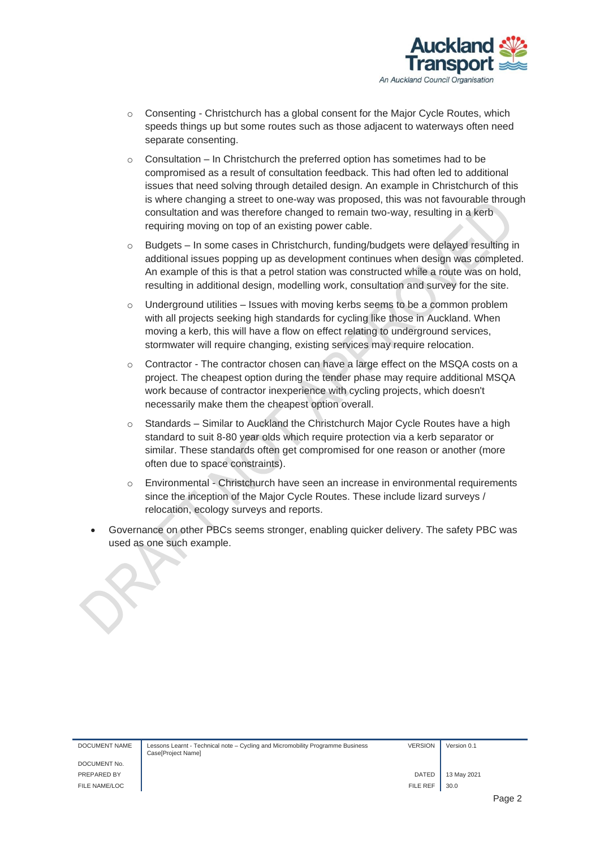

- $\circ$  Consenting Christchurch has a global consent for the Major Cycle Routes, which speeds things up but some routes such as those adjacent to waterways often need separate consenting.
- o Consultation In Christchurch the preferred option has sometimes had to be compromised as a result of consultation feedback. This had often led to additional issues that need solving through detailed design. An example in Christchurch of this is where changing a street to one-way was proposed, this was not favourable through consultation and was therefore changed to remain two-way, resulting in a kerb requiring moving on top of an existing power cable.
- $\circ$  Budgets In some cases in Christchurch, funding/budgets were delayed resulting in additional issues popping up as development continues when design was completed. An example of this is that a petrol station was constructed while a route was on hold, resulting in additional design, modelling work, consultation and survey for the site.
- $\circ$  Underground utilities Issues with moving kerbs seems to be a common problem with all projects seeking high standards for cycling like those in Auckland. When moving a kerb, this will have a flow on effect relating to underground services, stormwater will require changing, existing services may require relocation.
- o Contractor The contractor chosen can have a large effect on the MSQA costs on a project. The cheapest option during the tender phase may require additional MSQA work because of contractor inexperience with cycling projects, which doesn't necessarily make them the cheapest option overall.
- o Standards Similar to Auckland the Christchurch Major Cycle Routes have a high standard to suit 8-80 year olds which require protection via a kerb separator or similar. These standards often get compromised for one reason or another (more often due to space constraints).
- Environmental Christchurch have seen an increase in environmental requirements since the inception of the Major Cycle Routes. These include lizard surveys / relocation, ecology surveys and reports.
- Governance on other PBCs seems stronger, enabling quicker delivery. The safety PBC was used as one such example.

| DOCUMENT NAME | Lessons Learnt - Technical note – Cycling and Micromobility Programme Business<br>Case[Project Name] | <b>VERSION</b> | Version 0.1 |
|---------------|------------------------------------------------------------------------------------------------------|----------------|-------------|
| DOCUMENT No.  |                                                                                                      |                |             |
| PREPARED BY   |                                                                                                      | <b>DATED</b>   | 13 May 2021 |

FILE NAME/LOC FILE REF 30.0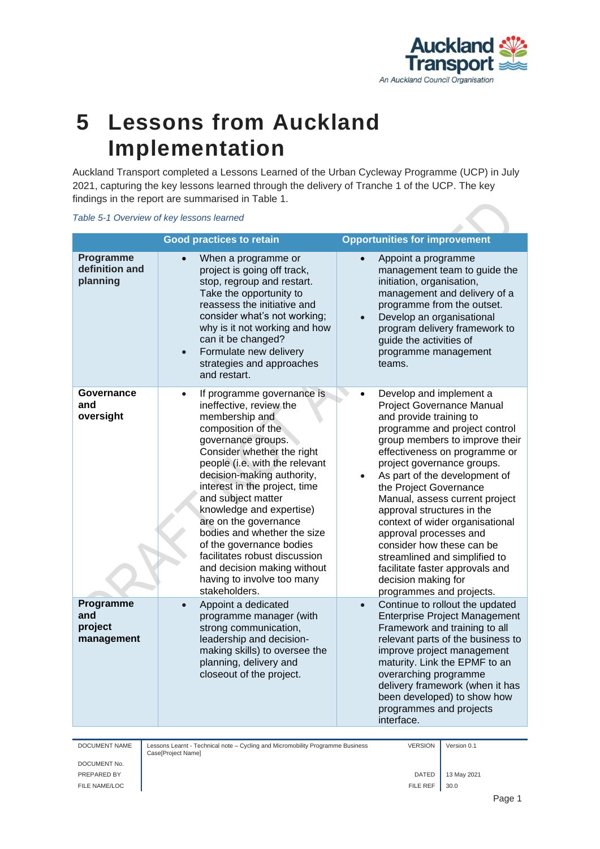

#### <span id="page-9-0"></span>**5 Lessons from Auckland Implementation**

Auckland Transport completed a Lessons Learned of the Urban Cycleway Programme (UCP) in July 2021, capturing the key lessons learned through the delivery of Tranche 1 of the UCP. The key findings in the report are summarised in Table 1.

#### *Table 5-1 Overview of key lessons learned*

|                                           | <b>Good practices to retain</b>                                                                                                                                                                                                                                                                                                                                                                                                                                                                                      | <b>Opportunities for improvement</b>                                                                                                                                                                                                                                                                                                                                                                                                                                                                                                                                       |
|-------------------------------------------|----------------------------------------------------------------------------------------------------------------------------------------------------------------------------------------------------------------------------------------------------------------------------------------------------------------------------------------------------------------------------------------------------------------------------------------------------------------------------------------------------------------------|----------------------------------------------------------------------------------------------------------------------------------------------------------------------------------------------------------------------------------------------------------------------------------------------------------------------------------------------------------------------------------------------------------------------------------------------------------------------------------------------------------------------------------------------------------------------------|
| Programme<br>definition and<br>planning   | When a programme or<br>project is going off track,<br>stop, regroup and restart.<br>Take the opportunity to<br>reassess the initiative and<br>consider what's not working;<br>why is it not working and how<br>can it be changed?<br>Formulate new delivery<br>$\bullet$<br>strategies and approaches<br>and restart.                                                                                                                                                                                                | Appoint a programme<br>$\bullet$<br>management team to guide the<br>initiation, organisation,<br>management and delivery of a<br>programme from the outset.<br>Develop an organisational<br>$\bullet$<br>program delivery framework to<br>guide the activities of<br>programme management<br>teams.                                                                                                                                                                                                                                                                        |
| Governance<br>and<br>oversight            | If programme governance is<br>$\bullet$<br>ineffective, review the<br>membership and<br>composition of the<br>governance groups.<br>Consider whether the right<br>people (i.e. with the relevant<br>decision-making authority,<br>interest in the project, time<br>and subject matter<br>knowledge and expertise)<br>are on the governance<br>bodies and whether the size<br>of the governance bodies<br>facilitates robust discussion<br>and decision making without<br>having to involve too many<br>stakeholders. | Develop and implement a<br>Project Governance Manual<br>and provide training to<br>programme and project control<br>group members to improve their<br>effectiveness on programme or<br>project governance groups.<br>As part of the development of<br>$\bullet$<br>the Project Governance<br>Manual, assess current project<br>approval structures in the<br>context of wider organisational<br>approval processes and<br>consider how these can be<br>streamlined and simplified to<br>facilitate faster approvals and<br>decision making for<br>programmes and projects. |
| Programme<br>and<br>project<br>management | Appoint a dedicated<br>$\bullet$<br>programme manager (with<br>strong communication,<br>leadership and decision-<br>making skills) to oversee the<br>planning, delivery and<br>closeout of the project.                                                                                                                                                                                                                                                                                                              | Continue to rollout the updated<br>$\bullet$<br><b>Enterprise Project Management</b><br>Framework and training to all<br>relevant parts of the business to<br>improve project management<br>maturity. Link the EPMF to an<br>overarching programme<br>delivery framework (when it has<br>been developed) to show how<br>programmes and projects<br>interface.                                                                                                                                                                                                              |

DOCUMENT NAME Lessons Learnt - Technical note – Cycling and Micromobility Programme Business Case[Project Name]

VERSION Version 0.1

DOCUMENT No. FILE NAME/LOC **FILE REF** 30.0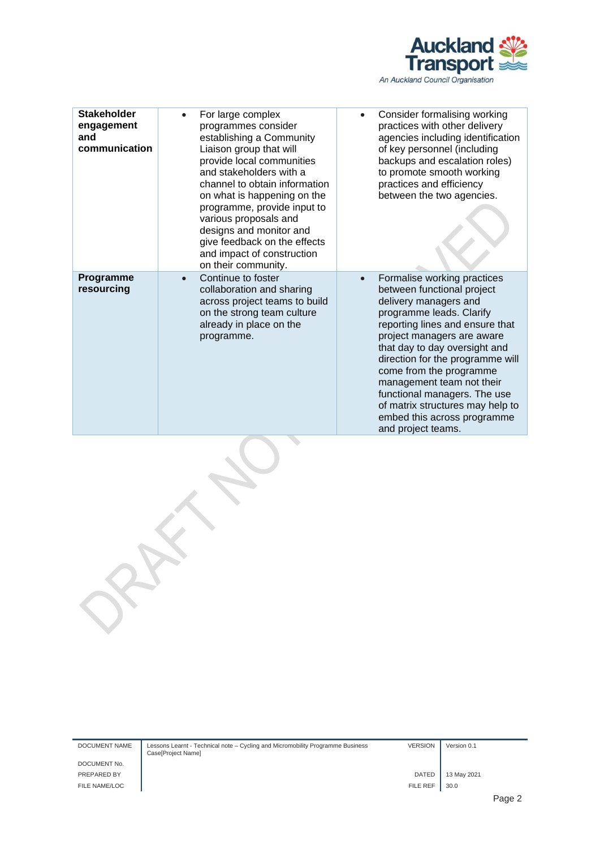

| <b>Stakeholder</b><br>engagement<br>and<br>communication | For large complex<br>programmes consider<br>establishing a Community<br>Liaison group that will<br>provide local communities<br>and stakeholders with a<br>channel to obtain information<br>on what is happening on the<br>programme, provide input to<br>various proposals and<br>designs and monitor and<br>give feedback on the effects<br>and impact of construction<br>on their community. | Consider formalising working<br>$\bullet$<br>practices with other delivery<br>agencies including identification<br>of key personnel (including<br>backups and escalation roles)<br>to promote smooth working<br>practices and efficiency<br>between the two agencies.                                                                                                                                                                 |
|----------------------------------------------------------|-------------------------------------------------------------------------------------------------------------------------------------------------------------------------------------------------------------------------------------------------------------------------------------------------------------------------------------------------------------------------------------------------|---------------------------------------------------------------------------------------------------------------------------------------------------------------------------------------------------------------------------------------------------------------------------------------------------------------------------------------------------------------------------------------------------------------------------------------|
| <b>Programme</b><br>resourcing                           | Continue to foster<br>$\bullet$<br>collaboration and sharing<br>across project teams to build<br>on the strong team culture<br>already in place on the<br>programme.                                                                                                                                                                                                                            | Formalise working practices<br>between functional project<br>delivery managers and<br>programme leads. Clarify<br>reporting lines and ensure that<br>project managers are aware<br>that day to day oversight and<br>direction for the programme will<br>come from the programme<br>management team not their<br>functional managers. The use<br>of matrix structures may help to<br>embed this across programme<br>and project teams. |

DOCUMENT No.

DOCUMENT NAME Lessons Learnt - Technical note – Cycling and Micromobility Programme Business Case[Project Name]

VERSION Version 0.1

PREPARED BY **DATED** 13 May 2021 FILE NAME/LOC **FILE REF** 30.0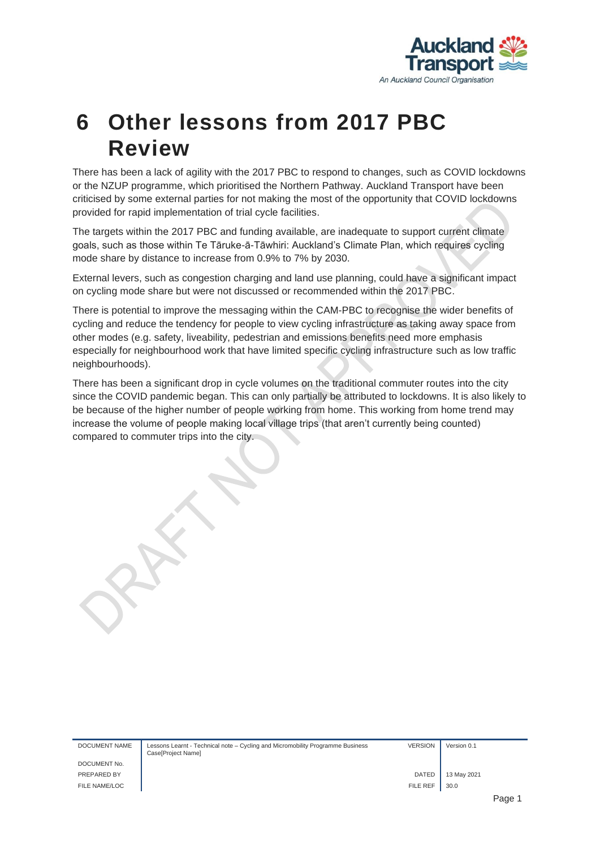

#### <span id="page-11-0"></span>**6 Other lessons from 2017 PBC Review**

There has been a lack of agility with the 2017 PBC to respond to changes, such as COVID lockdowns or the NZUP programme, which prioritised the Northern Pathway. Auckland Transport have been criticised by some external parties for not making the most of the opportunity that COVID lockdowns provided for rapid implementation of trial cycle facilities.

The targets within the 2017 PBC and funding available, are inadequate to support current climate goals, such as those within Te Tāruke-ā-Tāwhiri: Auckland's Climate Plan, which requires cycling mode share by distance to increase from 0.9% to 7% by 2030.

External levers, such as congestion charging and land use planning, could have a significant impact on cycling mode share but were not discussed or recommended within the 2017 PBC.

There is potential to improve the messaging within the CAM-PBC to recognise the wider benefits of cycling and reduce the tendency for people to view cycling infrastructure as taking away space from other modes (e.g. safety, liveability, pedestrian and emissions benefits need more emphasis especially for neighbourhood work that have limited specific cycling infrastructure such as low traffic neighbourhoods).

There has been a significant drop in cycle volumes on the traditional commuter routes into the city since the COVID pandemic began. This can only partially be attributed to lockdowns. It is also likely to be because of the higher number of people working from home. This working from home trend may increase the volume of people making local village trips (that aren't currently being counted) compared to commuter trips into the city.

| DOCUMENT NAME | Lessons Learnt - Technical note – Cycling and Micromobility Programme Business<br>Case[Project Name] | <b>VERSION</b> | Version 0.1 |             |
|---------------|------------------------------------------------------------------------------------------------------|----------------|-------------|-------------|
| DOCUMENT No.  |                                                                                                      |                |             |             |
| PREPARED BY   |                                                                                                      | <b>DATED</b>   | 13 May 2021 |             |
| FILE NAME/LOC |                                                                                                      | FILE REF       | 30.0        |             |
|               |                                                                                                      |                |             | <b>Dono</b> |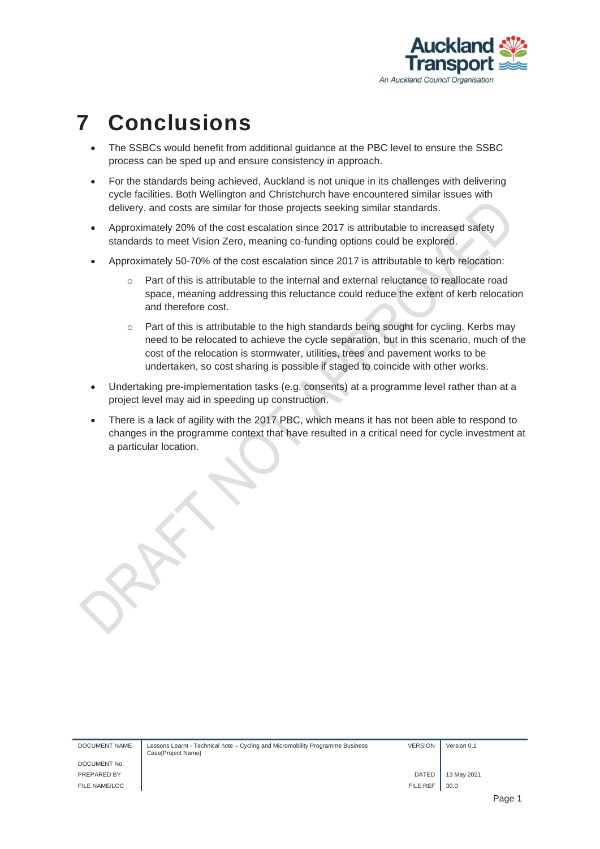

#### <span id="page-12-0"></span>**7 Conclusions**

- The SSBCs would benefit from additional guidance at the PBC level to ensure the SSBC process can be sped up and ensure consistency in approach.
- For the standards being achieved, Auckland is not unique in its challenges with delivering cycle facilities. Both Wellington and Christchurch have encountered similar issues with delivery, and costs are similar for those projects seeking similar standards.
- Approximately 20% of the cost escalation since 2017 is attributable to increased safety standards to meet Vision Zero, meaning co-funding options could be explored.
- Approximately 50-70% of the cost escalation since 2017 is attributable to kerb relocation:
	- o Part of this is attributable to the internal and external reluctance to reallocate road space, meaning addressing this reluctance could reduce the extent of kerb relocation and therefore cost.
	- o Part of this is attributable to the high standards being sought for cycling. Kerbs may need to be relocated to achieve the cycle separation, but in this scenario, much of the cost of the relocation is stormwater, utilities, trees and pavement works to be undertaken, so cost sharing is possible if staged to coincide with other works.
- Undertaking pre-implementation tasks (e.g. consents) at a programme level rather than at a project level may aid in speeding up construction.
- There is a lack of agility with the 2017 PBC, which means it has not been able to respond to changes in the programme context that have resulted in a critical need for cycle investment at a particular location.

| DOCUMENT NAME | Lessons Learnt - Technical note – Cycling and Micromobility Programme Business<br>Case[Project Name] | <b>VERSION</b> | Version 0.1 |        |
|---------------|------------------------------------------------------------------------------------------------------|----------------|-------------|--------|
| DOCUMENT No.  |                                                                                                      |                |             |        |
| PREPARED BY   |                                                                                                      | <b>DATED</b>   | 13 May 2021 |        |
| FILE NAME/LOC |                                                                                                      | FILE REF       | 30.0        |        |
|               |                                                                                                      |                |             | Pane 1 |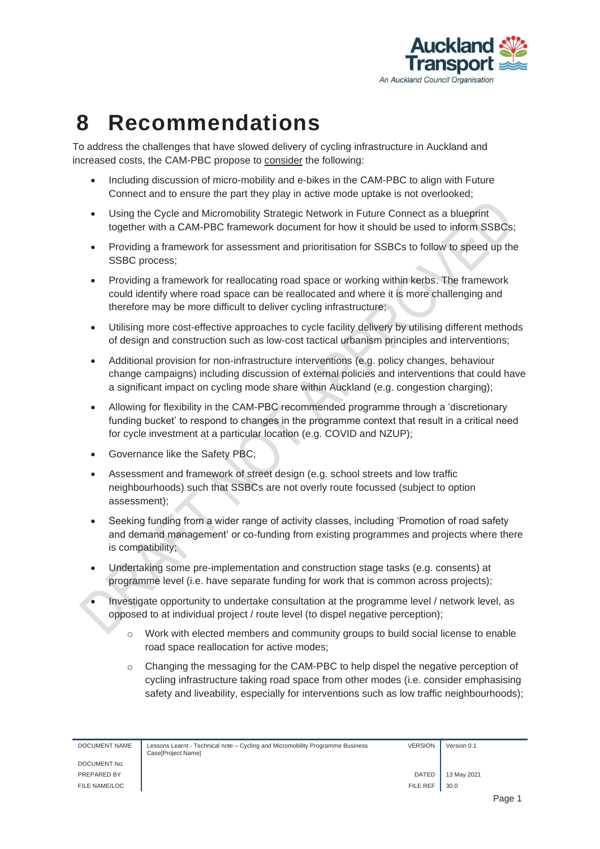

#### <span id="page-13-0"></span>**8 Recommendations**

To address the challenges that have slowed delivery of cycling infrastructure in Auckland and increased costs, the CAM-PBC propose to consider the following:

- Including discussion of micro-mobility and e-bikes in the CAM-PBC to align with Future Connect and to ensure the part they play in active mode uptake is not overlooked;
- Using the Cycle and Micromobility Strategic Network in Future Connect as a blueprint together with a CAM-PBC framework document for how it should be used to inform SSBCs;
- Providing a framework for assessment and prioritisation for SSBCs to follow to speed up the SSBC process;
- Providing a framework for reallocating road space or working within kerbs. The framework could identify where road space can be reallocated and where it is more challenging and therefore may be more difficult to deliver cycling infrastructure;
- Utilising more cost-effective approaches to cycle facility delivery by utilising different methods of design and construction such as low-cost tactical urbanism principles and interventions;
- Additional provision for non-infrastructure interventions (e.g. policy changes, behaviour change campaigns) including discussion of external policies and interventions that could have a significant impact on cycling mode share within Auckland (e.g. congestion charging);
- Allowing for flexibility in the CAM-PBC recommended programme through a 'discretionary funding bucket' to respond to changes in the programme context that result in a critical need for cycle investment at a particular location (e.g. COVID and NZUP);
- Governance like the Safety PBC;
- Assessment and framework of street design (e.g. school streets and low traffic neighbourhoods) such that SSBCs are not overly route focussed (subject to option assessment);
- Seeking funding from a wider range of activity classes, including 'Promotion of road safety and demand management' or co-funding from existing programmes and projects where there is compatibility;
- Undertaking some pre-implementation and construction stage tasks (e.g. consents) at programme level (i.e. have separate funding for work that is common across projects);
- Investigate opportunity to undertake consultation at the programme level / network level, as opposed to at individual project / route level (to dispel negative perception);
	- o Work with elected members and community groups to build social license to enable road space reallocation for active modes;
	- o Changing the messaging for the CAM-PBC to help dispel the negative perception of cycling infrastructure taking road space from other modes (i.e. consider emphasising safety and liveability, especially for interventions such as low traffic neighbourhoods);